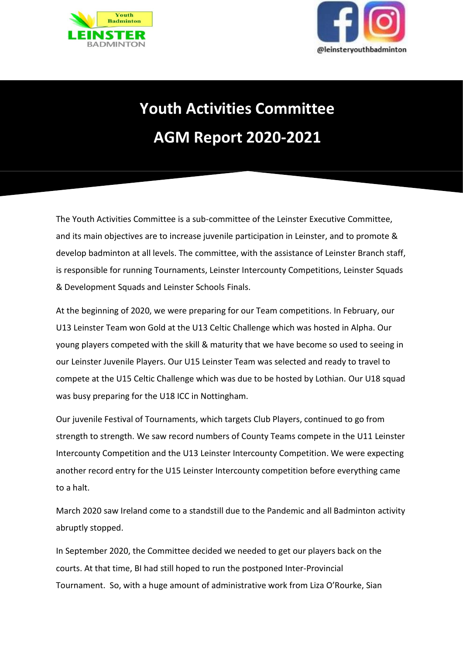



## **Youth Activities Committee AGM Report 2020-2021**

The Youth Activities Committee is a sub-committee of the Leinster Executive Committee, and its main objectives are to increase juvenile participation in Leinster, and to promote & develop badminton at all levels. The committee, with the assistance of Leinster Branch staff, is responsible for running Tournaments, Leinster Intercounty Competitions, Leinster Squads & Development Squads and Leinster Schools Finals.

At the beginning of 2020, we were preparing for our Team competitions. In February, our U13 Leinster Team won Gold at the U13 Celtic Challenge which was hosted in Alpha. Our young players competed with the skill & maturity that we have become so used to seeing in our Leinster Juvenile Players. Our U15 Leinster Team was selected and ready to travel to compete at the U15 Celtic Challenge which was due to be hosted by Lothian. Our U18 squad was busy preparing for the U18 ICC in Nottingham.

Our juvenile Festival of Tournaments, which targets Club Players, continued to go from strength to strength. We saw record numbers of County Teams compete in the U11 Leinster Intercounty Competition and the U13 Leinster Intercounty Competition. We were expecting another record entry for the U15 Leinster Intercounty competition before everything came to a halt.

March 2020 saw Ireland come to a standstill due to the Pandemic and all Badminton activity abruptly stopped.

In September 2020, the Committee decided we needed to get our players back on the courts. At that time, BI had still hoped to run the postponed Inter-Provincial Tournament. So, with a huge amount of administrative work from Liza O'Rourke, Sian